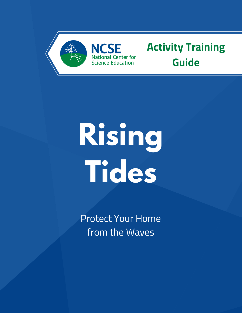

### **NCSE** National Center for Science Education

# **Activity Training Guide**

# **Rising Tides**

Protect Your Home from the Waves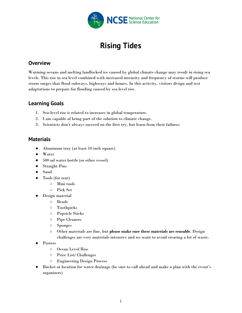

## **Rising Tides**

#### **Overview**

Warming oceans and melting landlocked ice caused by global climate change may result in rising sea levels. This rise in sea level combined with increased intensity and frequency of storms will produce storm surges that flood subways, highways and homes. In this activity, visitors design and test adaptations to prepare for flooding caused by sea level rise.

#### **Learning Goals**

- 1. Sea-level rise is related to increases in global temperature.
- 2. I am capable of being part of the solution to climate change.
- 3. Scientists don't always succeed on the first try, but learn from their failures.

#### **Materials**

- Aluminum tray (at least 10 inch square)
- Water
- 500 ml water bottle (or other vessel)
- Straight Pins
- Sand
- Tools (for rent)
	- Mini tools
	- Pick Set
- Design material
	- Beads
	- Toothpicks
	- Popsicle Sticks
	- Pipe Cleaners
	- Sponges
	- Other materials are fine, but **please make sure these materials are reusable**. Design challenges are very materials intensive and we want to avoid creating a lot of waste.
- **Posters** 
	- Ocean Level Rise
	- Price List/ Challenges
	- Engineering Design Process
- Bucket or location for water drainage (be sure to call ahead and make a plan with the event's organizers)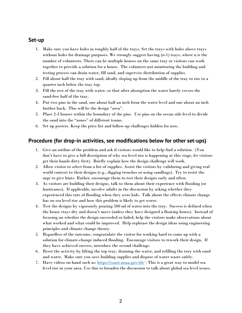#### **Set-up**

- 1. Make sure you have holes in roughly half of the trays. Set the trays with holes above trays without holes for drainage purposes. We strongly suggest having (n-1) trays, where n is the number of volunteers. There can be multiple houses on the same tray or visitors can work together to provide a solution for a house. The volunteer not monitoring the building and testing process can drain water, fill sand, and supervise distribution of supplies.
- 2. Fill about half the tray with sand, ideally sloping up from the middle of the tray to rise to a quarter inch below the tray top.
- 3. Fill the rest of the tray with water, so that after absorption the water barely covers the sand-free half of the tray.
- 4. Put two pins in the sand, one about half an inch from the water level and one about an inch further back. This will be the design "area".
- 5. Place 2-3 houses within the boundary of the pins. Use pins on the ocean side level to divide the sand into the "zones" of different teams.
- 6. Set up posters. Keep the price list and follow-up challenges hidden for now.

#### **Procedure (for drop-in activities, see modifications below for other set-ups)**

- 1. Give an outline of the problem and ask if visitors would like to help find a solution. (You don't have to give a full description of why sea level rise is happening at this stage, let visitors get their hands dirty first). Briefly explain how the design challenge will work.
- 2. Allow visitor to select from a list of supplies. Assist the visitors by validating and giving real world context to their designs (e.g., digging trenches or using sandbags). Try to resist the urge to give hints. Rather, encourage them to test their designs early and often.
- 3. As visitors are building their designs, talk to them about their experience with flooding (or hurricanes). If applicable, involve adults in the discussion by asking whether they experienced this rate of flooding when they were kids. Talk about the effects climate change has on sea level rise and how this problem is likely to get worse.
- 4. Test the designs by vigorously pouring 500 ml of water into the tray. Success is defined when the house stays dry and doesn't move (unless they have designed a floating house). Instead of focusing on whether the design succeeded or failed, help the visitors make observations about what worked and what could be improved. Help rephrase the design ideas using engineering principles and climate change theory.
- 5. Regardless of the outcome, congratulate the visitor for working hard to come up with a solution for climate-change induced flooding. Encourage visitors to rework their design. If they have achieved success, introduce the second challenge.
- 6. Reset the activity by lifting the top tray, draining the water, and refilling the tray with sand and water. Make sure you save building supplies and dispose of water waste safely.
- 7. Have videos on hand such as: <https://coast.noaa.gov/slr/> This is a great way to model sea level rise in your area. Use this to broaden the discussion to talk about global sea level issues.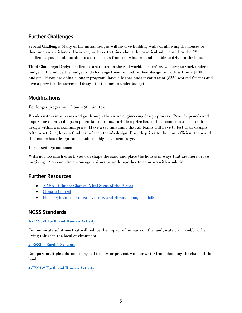#### **Further Challenges**

**Second Challenge:** Many of the initial designs will involve building walls or allowing the houses to float and create islands. However, we have to think about the practical solutions. For the  $2^{\mathrm{nd}}$ challenge, you should be able to see the ocean from the windows and be able to drive to the house.

**Third Challenge:** Design challenges are rooted in the real world. Therefore, we have to work under a budget. Introduce the budget and challenge them to modify their design to work within a \$100 budget. If you are doing a longer program, have a higher budget constraint (\$250 worked for me) and give a prize for the successful design that comes in under budget.

#### **Modifications**

#### For longer programs (1 hour – 90 minutes)

Break visitors into teams and go through the entire engineering design process. Provide pencils and papers for them to diagram potential solutions. Include a price list so that teams must keep their design within a maximum price. Have a set time limit that all teams will have to test their designs. After a set time, have a final test of each team's design. Provide prizes to the most efficient team and the team whose design can sustain the highest storm surge.

#### For mixed-age audiences

With not too much effort, you can shape the sand and place the houses in ways that are more or less forgiving. You can also encourage visitors to work together to come up with a solution.

#### **Further Resources**

- NASA Climate [Change:](https://climate.nasa.gov/vital-signs/sea-level/) Vital Signs of the Planet
- [Climate](https://www.climatecentral.org/what-we-do/our-programs/sea-level-rise) Central
- Housing [investment,](https://www.sciencedirect.com/science/article/pii/S016517651930031X) sea level rise, and climate change beliefs

#### **NGSS Standards**

#### **[K-ESS3-3](http://www.nextgenscience.org/pe/k-ess3-3-earth-and-human-activity) Earth and Human Activity**

Communicate solutions that will reduce the impact of humans on the land, water, air, and/or other living things in the local environment.

#### **[2-ESS2-1](http://www.nextgenscience.org/pe/2-ess2-1-earths-systems) Earth's Systems**

Compare multiple solutions designed to slow or prevent wind or water from changing the shape of the land.

#### **[4-ESS3-2](http://www.nextgenscience.org/pe/4-ess3-2-earth-and-human-activity) Earth and Human Activity**